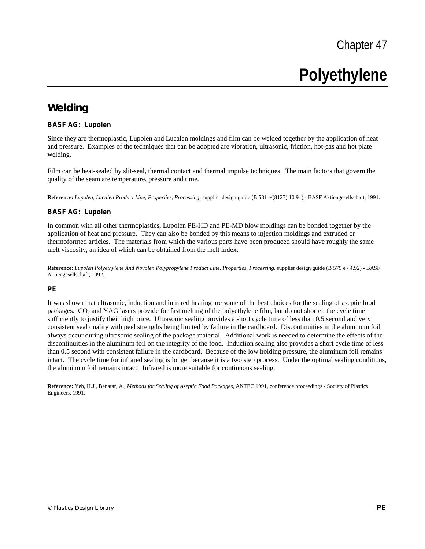Chapter 47

# **Polyethylene**

## **Welding**

#### **BASF AG: Lupolen**

Since they are thermoplastic, Lupolen and Lucalen moldings and film can be welded together by the application of heat and pressure. Examples of the techniques that can be adopted are vibration, ultrasonic, friction, hot-gas and hot plate welding.

Film can be heat-sealed by slit-seal, thermal contact and thermal impulse techniques. The main factors that govern the quality of the seam are temperature, pressure and time.

**Reference:** *Lupolen, Lucalen Product Line, Properties, Processing,* supplier design guide (B 581 e/(8127) 10.91) - BASF Aktiengesellschaft, 1991.

#### **BASF AG: Lupolen**

In common with all other thermoplastics, Lupolen PE-HD and PE-MD blow moldings can be bonded together by the application of heat and pressure. They can also be bonded by this means to injection moldings and extruded or thermoformed articles. The materials from which the various parts have been produced should have roughly the same melt viscosity, an idea of which can be obtained from the melt index.

**Reference:** *Lupolen Polyethylene And Novolen Polypropylene Product Line, Properties, Processing,* supplier design guide (B 579 e / 4.92) - BASF Aktiengesellschaft, 1992.

#### **PE**

It was shown that ultrasonic, induction and infrared heating are some of the best choices for the sealing of aseptic food packages. CO<sub>2</sub> and YAG lasers provide for fast melting of the polyethylene film, but do not shorten the cycle time sufficiently to justify their high price. Ultrasonic sealing provides a short cycle time of less than 0.5 second and very consistent seal quality with peel strengths being limited by failure in the cardboard. Discontinuities in the aluminum foil always occur during ultrasonic sealing of the package material. Additional work is needed to determine the effects of the discontinuities in the aluminum foil on the integrity of the food. Induction sealing also provides a short cycle time of less than 0.5 second with consistent failure in the cardboard. Because of the low holding pressure, the aluminum foil remains intact. The cycle time for infrared sealing is longer because it is a two step process. Under the optimal sealing conditions, the aluminum foil remains intact. Infrared is more suitable for continuous sealing.

**Reference:** Yeh, H.J., Benatar, A., *Methods for Sealing of Aseptic Food Packages,* ANTEC 1991, conference proceedings - Society of Plastics Engineers, 1991.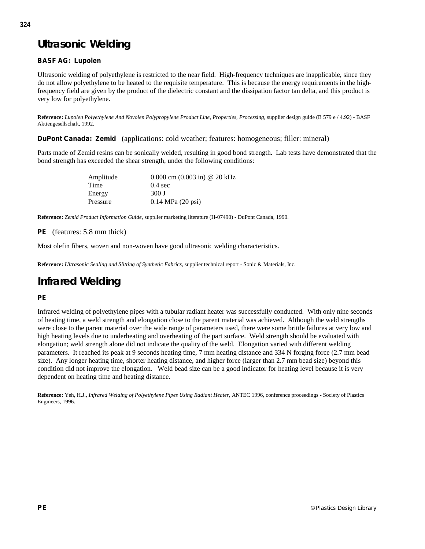# **Ultrasonic Welding**

## **BASF AG: Lupolen**

Ultrasonic welding of polyethylene is restricted to the near field. High-frequency techniques are inapplicable, since they do not allow polyethylene to be heated to the requisite temperature. This is because the energy requirements in the highfrequency field are given by the product of the dielectric constant and the dissipation factor tan delta, and this product is very low for polyethylene.

**Reference:** *Lupolen Polyethylene And Novolen Polypropylene Product Line, Properties, Processing,* supplier design guide (B 579 e / 4.92) - BASF Aktiengesellschaft, 1992.

**DuPont Canada: Zemid** (applications: cold weather; features: homogeneous; filler: mineral)

Parts made of Zemid resins can be sonically welded, resulting in good bond strength. Lab tests have demonstrated that the bond strength has exceeded the shear strength, under the following conditions:

| Amplitude | 0.008 cm $(0.003 \text{ in})$ @ 20 kHz |
|-----------|----------------------------------------|
| Time      | $0.4 \text{ sec}$                      |
| Energy    | 300 J                                  |
| Pressure  | $0.14 \text{ MPa} (20 \text{ psi})$    |

**Reference:** *Zemid Product Information Guide,* supplier marketing literature (H-07490) - DuPont Canada, 1990.

#### **PE** (features: 5.8 mm thick)

Most olefin fibers, woven and non-woven have good ultrasonic welding characteristics.

**Reference:** *Ultrasonic Sealing and Slitting of Synthetic Fabrics,* supplier technical report - Sonic & Materials, Inc.

# **Infrared Welding**

## **PE**

Infrared welding of polyethylene pipes with a tubular radiant heater was successfully conducted. With only nine seconds of heating time, a weld strength and elongation close to the parent material was achieved. Although the weld strengths were close to the parent material over the wide range of parameters used, there were some brittle failures at very low and high heating levels due to underheating and overheating of the part surface. Weld strength should be evaluated with elongation; weld strength alone did not indicate the quality of the weld. Elongation varied with different welding parameters. It reached its peak at 9 seconds heating time, 7 mm heating distance and 334 N forging force (2.7 mm bead size). Any longer heating time, shorter heating distance, and higher force (larger than 2.7 mm bead size) beyond this condition did not improve the elongation. Weld bead size can be a good indicator for heating level because it is very dependent on heating time and heating distance.

**Reference:** Yeh, H.J., *Infrared Welding of Polyethylene Pipes Using Radiant Heater,* ANTEC 1996, conference proceedings - Society of Plastics Engineers, 1996.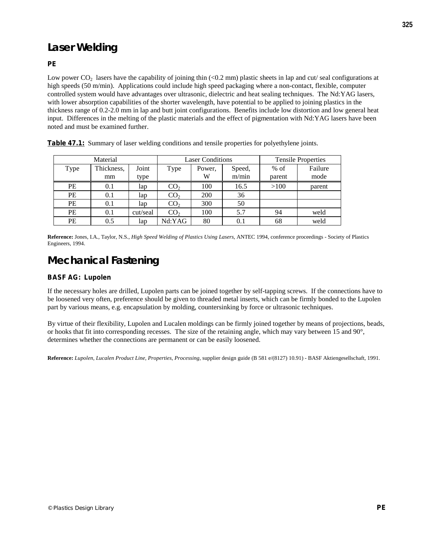# **Laser Welding**

## **PE**

Low power  $CO_2$  lasers have the capability of joining thin (<0.2 mm) plastic sheets in lap and cut/ seal configurations at high speeds (50 m/min). Applications could include high speed packaging where a non-contact, flexible, computer controlled system would have advantages over ultrasonic, dielectric and heat sealing techniques. The Nd:YAG lasers, with lower absorption capabilities of the shorter wavelength, have potential to be applied to joining plastics in the thickness range of 0.2-2.0 mm in lap and butt joint configurations. Benefits include low distortion and low general heat input. Differences in the melting of the plastic materials and the effect of pigmentation with Nd:YAG lasers have been noted and must be examined further.

| Material |            | <b>Laser Conditions</b> |                 |        | <b>Tensile Properties</b> |        |         |
|----------|------------|-------------------------|-----------------|--------|---------------------------|--------|---------|
| Type     | Thickness, | Joint                   | Type            | Power. | Speed,                    | $%$ of | Failure |
|          | mm         | type                    |                 | W      | m/min                     | parent | mode    |
| PE       | 0.1        | lap                     | CO <sub>2</sub> | 100    | 16.5                      | >100   | parent  |
| PE       | 0.1        | lap                     | CO <sub>2</sub> | 200    | 36                        |        |         |
| PE       | 0.1        | lap                     | CO <sub>2</sub> | 300    | 50                        |        |         |
| PE       | 0.1        | cut/seal                | CO <sub>2</sub> | 100    | 5.7                       | 94     | weld    |
| PE       | 0.5        | lap                     | Nd:YAG          | 80     | 0.1                       | 68     | weld    |

**Table 47.1:** Summary of laser welding conditions and tensile properties for polyethylene joints.

**Reference:** Jones, I.A., Taylor, N.S., *High Speed Welding of Plastics Using Lasers,* ANTEC 1994, conference proceedings - Society of Plastics Engineers, 1994.

## **Mechanical Fastening**

#### **BASF AG: Lupolen**

If the necessary holes are drilled, Lupolen parts can be joined together by self-tapping screws. If the connections have to be loosened very often, preference should be given to threaded metal inserts, which can be firmly bonded to the Lupolen part by various means, e.g. encapsulation by molding, countersinking by force or ultrasonic techniques.

By virtue of their flexibility, Lupolen and Lucalen moldings can be firmly joined together by means of projections, beads, or hooks that fit into corresponding recesses. The size of the retaining angle, which may vary between 15 and 90°, determines whether the connections are permanent or can be easily loosened.

**Reference:** *Lupolen, Lucalen Product Line, Properties, Processing,* supplier design guide (B 581 e/(8127) 10.91) - BASF Aktiengesellschaft, 1991.